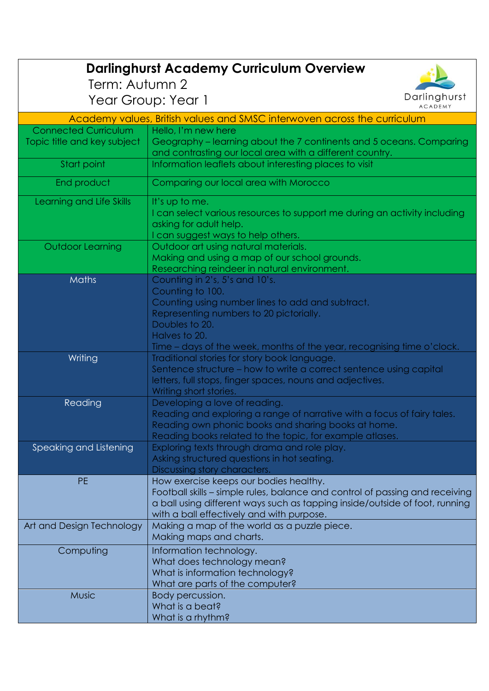| <b>Darlinghurst Academy Curriculum Overview</b>                          |                                                                                                                    |
|--------------------------------------------------------------------------|--------------------------------------------------------------------------------------------------------------------|
| Term: Autumn 2                                                           |                                                                                                                    |
|                                                                          | Darlinghurst                                                                                                       |
|                                                                          | Year Group: Year 1<br><b>ACADEMY</b>                                                                               |
| Academy values, British values and SMSC interwoven across the curriculum |                                                                                                                    |
| <b>Connected Curriculum</b>                                              | Hello, I'm new here                                                                                                |
| Topic title and key subject                                              | Geography – learning about the 7 continents and 5 oceans. Comparing                                                |
|                                                                          | and contrasting our local area with a different country.                                                           |
| Start point                                                              | Information leaflets about interesting places to visit                                                             |
| End product                                                              | Comparing our local area with Morocco                                                                              |
| Learning and Life Skills                                                 | It's up to me.                                                                                                     |
|                                                                          | I can select various resources to support me during an activity including                                          |
|                                                                          | asking for adult help.                                                                                             |
|                                                                          | I can suggest ways to help others.                                                                                 |
| <b>Outdoor Learning</b>                                                  | Outdoor art using natural materials.                                                                               |
|                                                                          | Making and using a map of our school grounds.                                                                      |
|                                                                          | Researching reindeer in natural environment.                                                                       |
| Maths                                                                    | Counting in 2's, 5's and 10's.                                                                                     |
|                                                                          | Counting to 100.                                                                                                   |
|                                                                          | Counting using number lines to add and subtract.                                                                   |
|                                                                          | Representing numbers to 20 pictorially.                                                                            |
|                                                                          | Doubles to 20.                                                                                                     |
|                                                                          | Halves to 20.                                                                                                      |
|                                                                          | Time - days of the week, months of the year, recognising time o'clock.                                             |
| Writing                                                                  | Traditional stories for story book language.<br>Sentence structure - how to write a correct sentence using capital |
|                                                                          | letters, full stops, finger spaces, nouns and adjectives.                                                          |
|                                                                          | Writing short stories.                                                                                             |
| Reading                                                                  | Developing a love of reading.                                                                                      |
|                                                                          | Reading and exploring a range of narrative with a focus of fairy tales.                                            |
|                                                                          | Reading own phonic books and sharing books at home.                                                                |
|                                                                          | Reading books related to the topic, for example atlases.                                                           |
| Speaking and Listening                                                   | Exploring texts through drama and role play.                                                                       |
|                                                                          | Asking structured questions in hot seating.                                                                        |
|                                                                          | Discussing story characters.                                                                                       |
| <b>PE</b>                                                                | How exercise keeps our bodies healthy.                                                                             |
|                                                                          | Football skills – simple rules, balance and control of passing and receiving                                       |
|                                                                          | a ball using different ways such as tapping inside/outside of foot, running                                        |
|                                                                          | with a ball effectively and with purpose.                                                                          |
| Art and Design Technology                                                | Making a map of the world as a puzzle piece.                                                                       |
|                                                                          | Making maps and charts.                                                                                            |
| Computing                                                                | Information technology.                                                                                            |
|                                                                          | What does technology mean?                                                                                         |
|                                                                          | What is information technology?                                                                                    |
|                                                                          | What are parts of the computer?                                                                                    |
| <b>Music</b>                                                             | Body percussion.                                                                                                   |
|                                                                          | What is a beat?                                                                                                    |
|                                                                          | What is a rhythm?                                                                                                  |